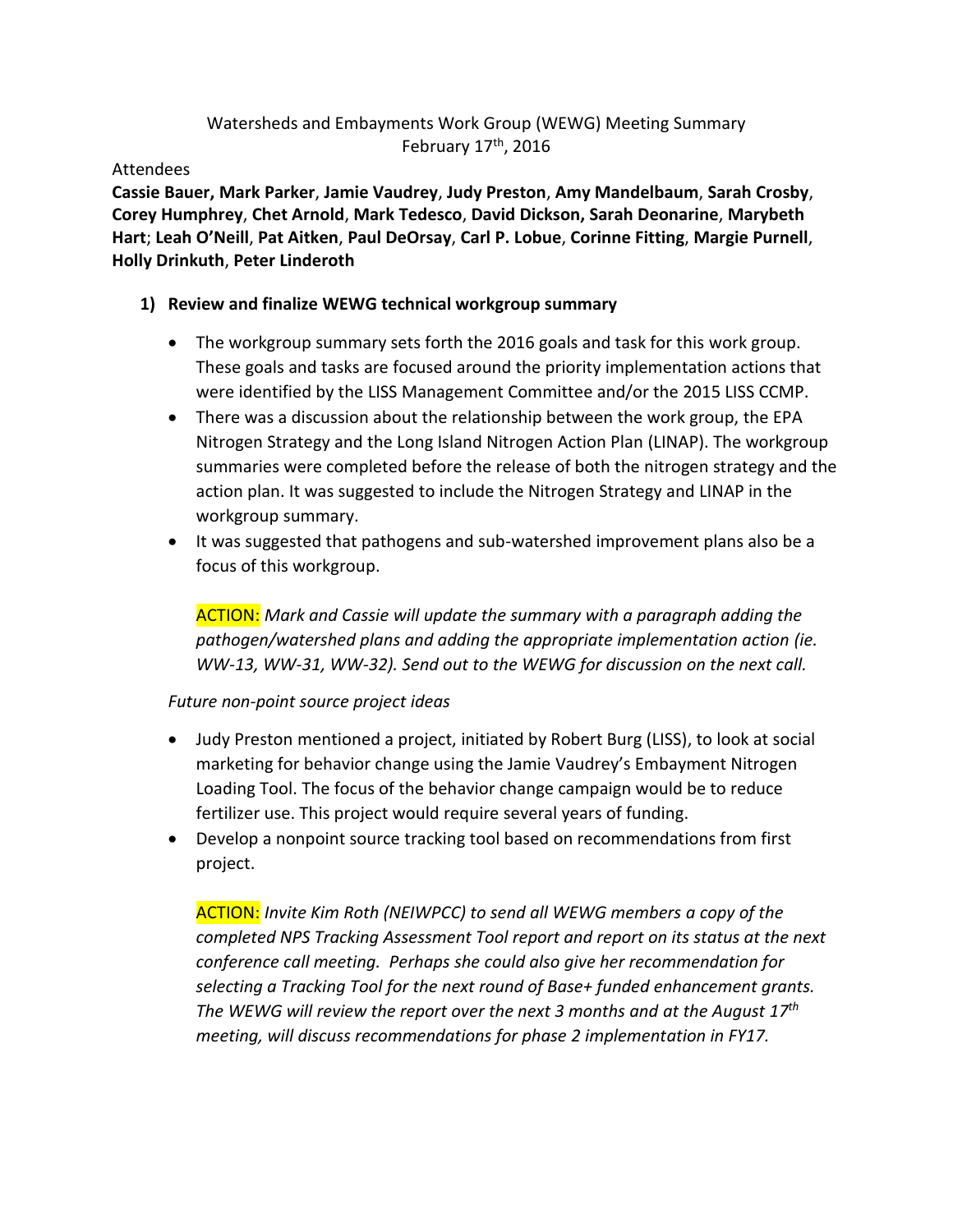## Watersheds and Embayments Work Group (WEWG) Meeting Summary February 17th, 2016

Attendees

**Cassie Bauer, Mark Parker**, **Jamie Vaudrey**, **Judy Preston**, **Amy Mandelbaum**, **Sarah Crosby**, **Corey Humphrey**, **Chet Arnold**, **Mark Tedesco**, **David Dickson, Sarah Deonarine**, **Marybeth Hart**; **Leah O'Neill**, **Pat Aitken**, **Paul DeOrsay**, **Carl P. Lobue**, **Corinne Fitting**, **Margie Purnell**, **Holly Drinkuth**, **Peter Linderoth**

### **1) Review and finalize WEWG technical workgroup summary**

- The workgroup summary sets forth the 2016 goals and task for this work group. These goals and tasks are focused around the priority implementation actions that were identified by the LISS Management Committee and/or the 2015 LISS CCMP.
- There was a discussion about the relationship between the work group, the EPA Nitrogen Strategy and the Long Island Nitrogen Action Plan (LINAP). The workgroup summaries were completed before the release of both the nitrogen strategy and the action plan. It was suggested to include the Nitrogen Strategy and LINAP in the workgroup summary.
- It was suggested that pathogens and sub-watershed improvement plans also be a focus of this workgroup.

ACTION: *Mark and Cassie will update the summary with a paragraph adding the pathogen/watershed plans and adding the appropriate implementation action (ie. WW-13, WW-31, WW-32). Send out to the WEWG for discussion on the next call.*

### *Future non-point source project ideas*

- Judy Preston mentioned a project, initiated by Robert Burg (LISS), to look at social marketing for behavior change using the Jamie Vaudrey's Embayment Nitrogen Loading Tool. The focus of the behavior change campaign would be to reduce fertilizer use. This project would require several years of funding.
- Develop a nonpoint source tracking tool based on recommendations from first project.

ACTION: *Invite Kim Roth (NEIWPCC) to send all WEWG members a copy of the completed NPS Tracking Assessment Tool report and report on its status at the next conference call meeting. Perhaps she could also give her recommendation for selecting a Tracking Tool for the next round of Base+ funded enhancement grants. The WEWG will review the report over the next 3 months and at the August 17th meeting, will discuss recommendations for phase 2 implementation in FY17.*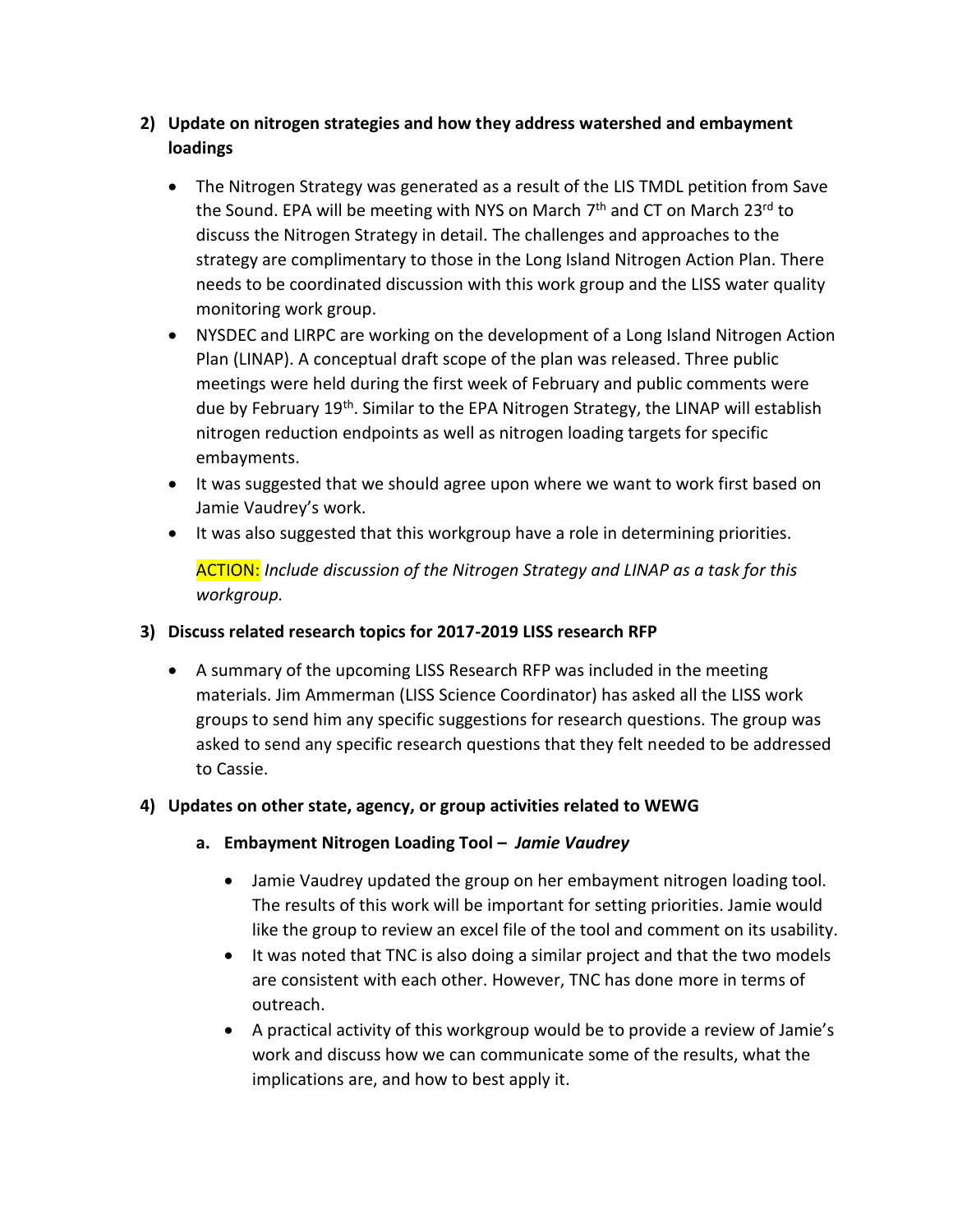- **2) Update on nitrogen strategies and how they address watershed and embayment loadings**
	- The Nitrogen Strategy was generated as a result of the LIS TMDL petition from Save the Sound. EPA will be meeting with NYS on March 7<sup>th</sup> and CT on March 23<sup>rd</sup> to discuss the Nitrogen Strategy in detail. The challenges and approaches to the strategy are complimentary to those in the Long Island Nitrogen Action Plan. There needs to be coordinated discussion with this work group and the LISS water quality monitoring work group.
	- NYSDEC and LIRPC are working on the development of a Long Island Nitrogen Action Plan (LINAP). A conceptual draft scope of the plan was released. Three public meetings were held during the first week of February and public comments were due by February 19<sup>th</sup>. Similar to the EPA Nitrogen Strategy, the LINAP will establish nitrogen reduction endpoints as well as nitrogen loading targets for specific embayments.
	- It was suggested that we should agree upon where we want to work first based on Jamie Vaudrey's work.
	- It was also suggested that this workgroup have a role in determining priorities.

ACTION: *Include discussion of the Nitrogen Strategy and LINAP as a task for this workgroup.*

### **3) Discuss related research topics for 2017-2019 LISS research RFP**

 A summary of the upcoming LISS Research RFP was included in the meeting materials. Jim Ammerman (LISS Science Coordinator) has asked all the LISS work groups to send him any specific suggestions for research questions. The group was asked to send any specific research questions that they felt needed to be addressed to Cassie.

### **4) Updates on other state, agency, or group activities related to WEWG**

- **a. Embayment Nitrogen Loading Tool –** *Jamie Vaudrey*
	- Jamie Vaudrey updated the group on her embayment nitrogen loading tool. The results of this work will be important for setting priorities. Jamie would like the group to review an excel file of the tool and comment on its usability.
	- It was noted that TNC is also doing a similar project and that the two models are consistent with each other. However, TNC has done more in terms of outreach.
	- A practical activity of this workgroup would be to provide a review of Jamie's work and discuss how we can communicate some of the results, what the implications are, and how to best apply it.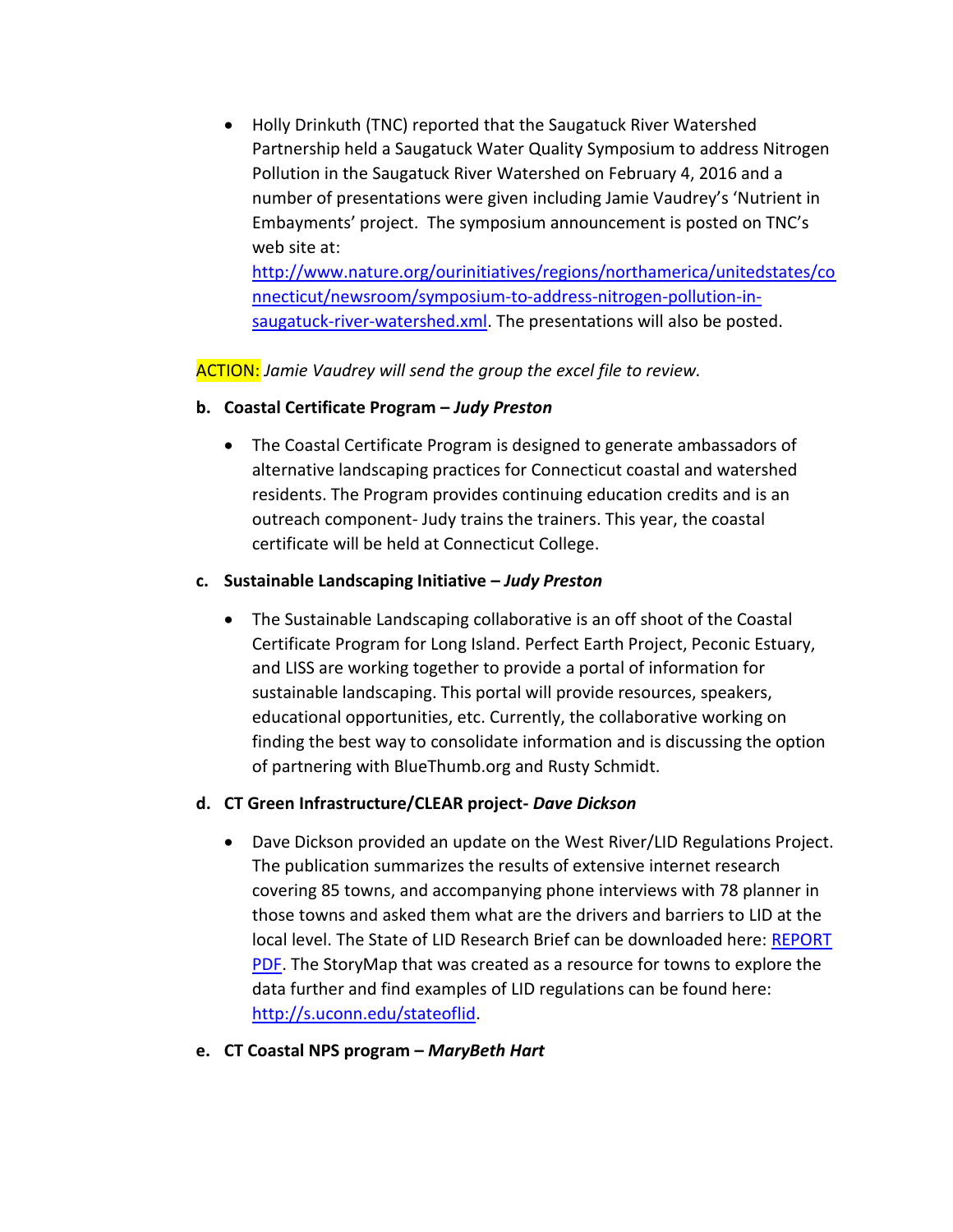Holly Drinkuth (TNC) reported that the Saugatuck River Watershed Partnership held a Saugatuck Water Quality Symposium to address Nitrogen Pollution in the Saugatuck River Watershed on February 4, 2016 and a number of presentations were given including Jamie Vaudrey's 'Nutrient in Embayments' project. The symposium announcement is posted on TNC's web site at:

[http://www.nature.org/ourinitiatives/regions/northamerica/unitedstates/co](http://www.nature.org/ourinitiatives/regions/northamerica/unitedstates/connecticut/newsroom/symposium-to-address-nitrogen-pollution-in-saugatuck-river-watershed.xml) [nnecticut/newsroom/symposium-to-address-nitrogen-pollution-in](http://www.nature.org/ourinitiatives/regions/northamerica/unitedstates/connecticut/newsroom/symposium-to-address-nitrogen-pollution-in-saugatuck-river-watershed.xml)[saugatuck-river-watershed.xml.](http://www.nature.org/ourinitiatives/regions/northamerica/unitedstates/connecticut/newsroom/symposium-to-address-nitrogen-pollution-in-saugatuck-river-watershed.xml) The presentations will also be posted.

ACTION: *Jamie Vaudrey will send the group the excel file to review.*

- **b. Coastal Certificate Program –** *Judy Preston*
	- The Coastal Certificate Program is designed to generate ambassadors of alternative landscaping practices for Connecticut coastal and watershed residents. The Program provides continuing education credits and is an outreach component- Judy trains the trainers. This year, the coastal certificate will be held at Connecticut College.

#### **c. Sustainable Landscaping Initiative –** *Judy Preston*

 The Sustainable Landscaping collaborative is an off shoot of the Coastal Certificate Program for Long Island. Perfect Earth Project, Peconic Estuary, and LISS are working together to provide a portal of information for sustainable landscaping. This portal will provide resources, speakers, educational opportunities, etc. Currently, the collaborative working on finding the best way to consolidate information and is discussing the option of partnering with BlueThumb.org and Rusty Schmidt.

### **d. CT Green Infrastructure/CLEAR project-** *Dave Dickson*

- Dave Dickson provided an update on the West River/LID Regulations Project. The publication summarizes the results of extensive internet research covering 85 towns, and accompanying phone interviews with 78 planner in those towns and asked them what are the drivers and barriers to LID at the local level. The State of LID Research Brief can be downloaded here: [REPORT](http://r20.rs6.net/tn.jsp?f=001d9-7-PWo_shLSZi22-_u7LHObE0V6mqgkVV70u5AJiEDamFGhItx6If-ezxSJ7SHBex6gjK3xZgKjhltNZLSQsHrci86FZ4PaZqVK7Ct2t7H4qdAravmjtMXHIkmHAccIOKFZTDsKz_NhEQTmOi8eDND1asKNG9oxOfXNmeSZ9ivccYGFjPLuuXbEHTwtlCWwr8lh2hJSVq47_J1Wi8fNg==&c=ejd2ch8ZvazD04CV5y6Fu6TqUiUTgCwHIJf_u-OJaeZ-UEP5aJERXQ==&ch=YIbJ4Dafl28ZWi6gUT-qMrQya32dKGrWO6eZV2rJpyQc5N768GwBQg==)  [PDF.](http://r20.rs6.net/tn.jsp?f=001d9-7-PWo_shLSZi22-_u7LHObE0V6mqgkVV70u5AJiEDamFGhItx6If-ezxSJ7SHBex6gjK3xZgKjhltNZLSQsHrci86FZ4PaZqVK7Ct2t7H4qdAravmjtMXHIkmHAccIOKFZTDsKz_NhEQTmOi8eDND1asKNG9oxOfXNmeSZ9ivccYGFjPLuuXbEHTwtlCWwr8lh2hJSVq47_J1Wi8fNg==&c=ejd2ch8ZvazD04CV5y6Fu6TqUiUTgCwHIJf_u-OJaeZ-UEP5aJERXQ==&ch=YIbJ4Dafl28ZWi6gUT-qMrQya32dKGrWO6eZV2rJpyQc5N768GwBQg==) The StoryMap that was created as a resource for towns to explore the data further and find examples of LID regulations can be found here: [http://s.uconn.edu/stateoflid.](http://s.uconn.edu/stateoflid)
- **e. CT Coastal NPS program –** *MaryBeth Hart*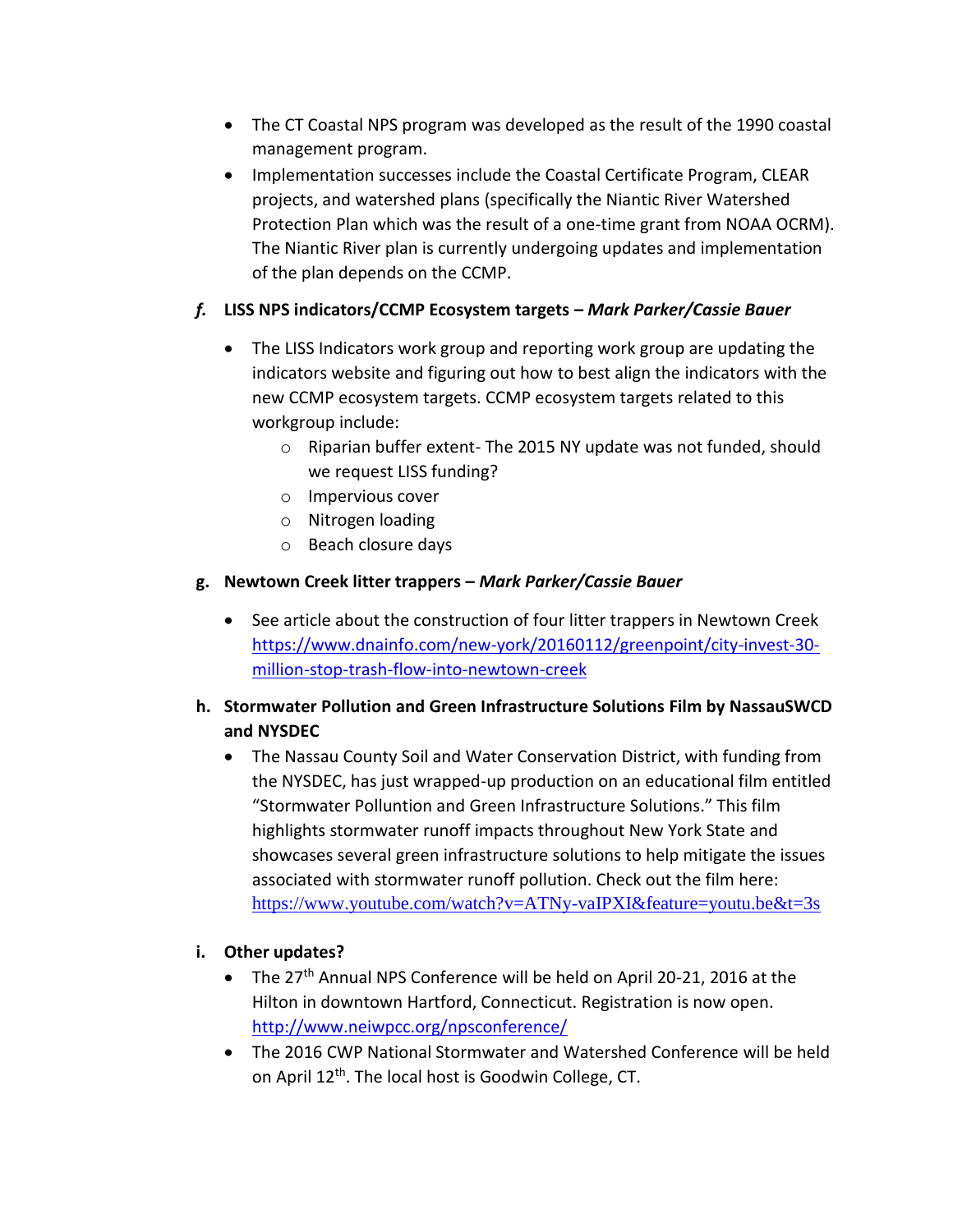- The CT Coastal NPS program was developed as the result of the 1990 coastal management program.
- Implementation successes include the Coastal Certificate Program, CLEAR projects, and watershed plans (specifically the Niantic River Watershed Protection Plan which was the result of a one-time grant from NOAA OCRM). The Niantic River plan is currently undergoing updates and implementation of the plan depends on the CCMP.

## *f.* **LISS NPS indicators/CCMP Ecosystem targets –** *Mark Parker/Cassie Bauer*

- The LISS Indicators work group and reporting work group are updating the indicators website and figuring out how to best align the indicators with the new CCMP ecosystem targets. CCMP ecosystem targets related to this workgroup include:
	- $\circ$  Riparian buffer extent-The 2015 NY update was not funded, should we request LISS funding?
	- o Impervious cover
	- o Nitrogen loading
	- o Beach closure days

### **g. Newtown Creek litter trappers –** *Mark Parker/Cassie Bauer*

• See article about the construction of four litter trappers in Newtown Creek [https://www.dnainfo.com/new-york/20160112/greenpoint/city-invest-30](https://www.dnainfo.com/new-york/20160112/greenpoint/city-invest-30-million-stop-trash-flow-into-newtown-creek) [million-stop-trash-flow-into-newtown-creek](https://www.dnainfo.com/new-york/20160112/greenpoint/city-invest-30-million-stop-trash-flow-into-newtown-creek) 

# **h. Stormwater Pollution and Green Infrastructure Solutions Film by NassauSWCD and NYSDEC**

 The Nassau County Soil and Water Conservation District, with funding from the NYSDEC, has just wrapped-up production on an educational film entitled "Stormwater Polluntion and Green Infrastructure Solutions." This film highlights stormwater runoff impacts throughout New York State and showcases several green infrastructure solutions to help mitigate the issues associated with stormwater runoff pollution. Check out the film here: <https://www.youtube.com/watch?v=ATNy-vaIPXI&feature=youtu.be&t=3s>

### **i. Other updates?**

- The 27<sup>th</sup> Annual NPS Conference will be held on April 20-21, 2016 at the Hilton in downtown Hartford, Connecticut. Registration is now open. <http://www.neiwpcc.org/npsconference/>
- The 2016 CWP National Stormwater and Watershed Conference will be held on April 12<sup>th</sup>. The local host is Goodwin College, CT.